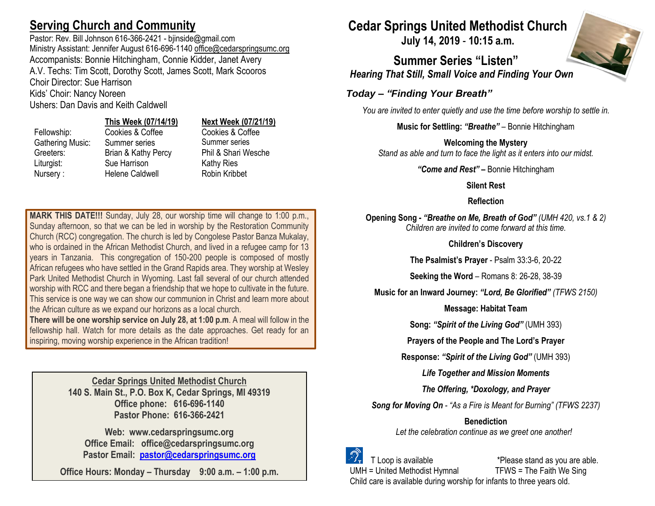## **Serving Church and Community**

Pastor: Rev. Bill Johnson 616-366-2421 - bjinside@gmail.com Ministry Assistant: Jennifer August 616-696-1140 [office@cedarspringsumc.org](mailto:office@cedarspringsumc.org) Accompanists: Bonnie Hitchingham, Connie Kidder, Janet Avery A.V. Techs: Tim Scott, Dorothy Scott, James Scott, Mark Scooros Choir Director: Sue Harrison Kids' Choir: Nancy Noreen

Ushers: Dan Davis and Keith Caldwell

## **This Week (07/14/19) Next Week (07/21/19)**

Fellowship: Cookies & Coffee Cookies & Coffee Gathering Music: Summer series Summer series Greeters: Brian & Kathy Percy Phil & Shari Wesche Liturgist: Sue Harrison Kathy Ries Nursery : Helene Caldwell Robin Kribbet

**MARK THIS DATE!!!** Sunday, July 28, our worship time will change to 1:00 p.m., Sunday afternoon, so that we can be led in worship by the Restoration Community Church (RCC) congregation. The church is led by Congolese Pastor Banza Mukalay, who is ordained in the African Methodist Church, and lived in a refugee camp for 13 years in Tanzania. This congregation of 150-200 people is composed of mostly African refugees who have settled in the Grand Rapids area. They worship at Wesley Park United Methodist Church in Wyoming. Last fall several of our church attended worship with RCC and there began a friendship that we hope to cultivate in the future. This service is one way we can show our communion in Christ and learn more about the African culture as we expand our horizons as a local church.

**There will be one worship service on July 28, at 1:00 p.m**. A meal will follow in the fellowship hall. Watch for more details as the date approaches. Get ready for an inspiring, moving worship experience in the African tradition!

> **Cedar Springs United Methodist Church 140 S. Main St., P.O. Box K, Cedar Springs, MI 49319 Office phone: 616-696-1140 Pastor Phone: 616-366-2421**

**Web: www.cedarspringsumc.org Office Email: office@cedarspringsumc.org Pastor Email: [pastor@cedarspringsumc.org](mailto:pastor@cedarspringsumc.org)**

**Office Hours: Monday – Thursday 9:00 a.m. – 1:00 p.m.**

# **Cedar Springs United Methodist Church**

**July 14, 2019** - **10:15 a.m.**

**Summer Series "Listen"** *Hearing That Still, Small Voice and Finding Your Own*

## *Today – "Finding Your Breath"*

*You are invited to enter quietly and use the time before worship to settle in.*

**Music for Settling:** *"Breathe"* – Bonnie Hitchingham

## **Welcoming the Mystery**

*Stand as able and turn to face the light as it enters into our midst.*

*"Come and Rest"* **–** Bonnie Hitchingham

## **Silent Rest**

## **Reflection**

**Opening Song -** *"Breathe on Me, Breath of God" (UMH 420, vs.1 & 2) Children are invited to come forward at this time.*

**Children's Discovery**

**The Psalmist's Prayer** - Psalm 33:3-6, 20-22

**Seeking the Word** – Romans 8: 26-28, 38-39

**Music for an Inward Journey:** *"Lord, Be Glorified" (TFWS 2150)*

### **Message: Habitat Team**

**Song:** *"Spirit of the Living God"* (UMH 393)

**Prayers of the People and The Lord's Prayer**

**Response:** *"Spirit of the Living God"* (UMH 393)

*Life Together and Mission Moments*

*The Offering, \*Doxology, and Prayer*

*Song for Moving On - "As a Fire is Meant for Burning" (TFWS 2237)*

**Benediction** *Let the celebration continue as we greet one another!*



 T Loop is available \*Please stand as you are able. UMH = United Methodist Hymnal TFWS = The Faith We Sing Child care is available during worship for infants to three years old.